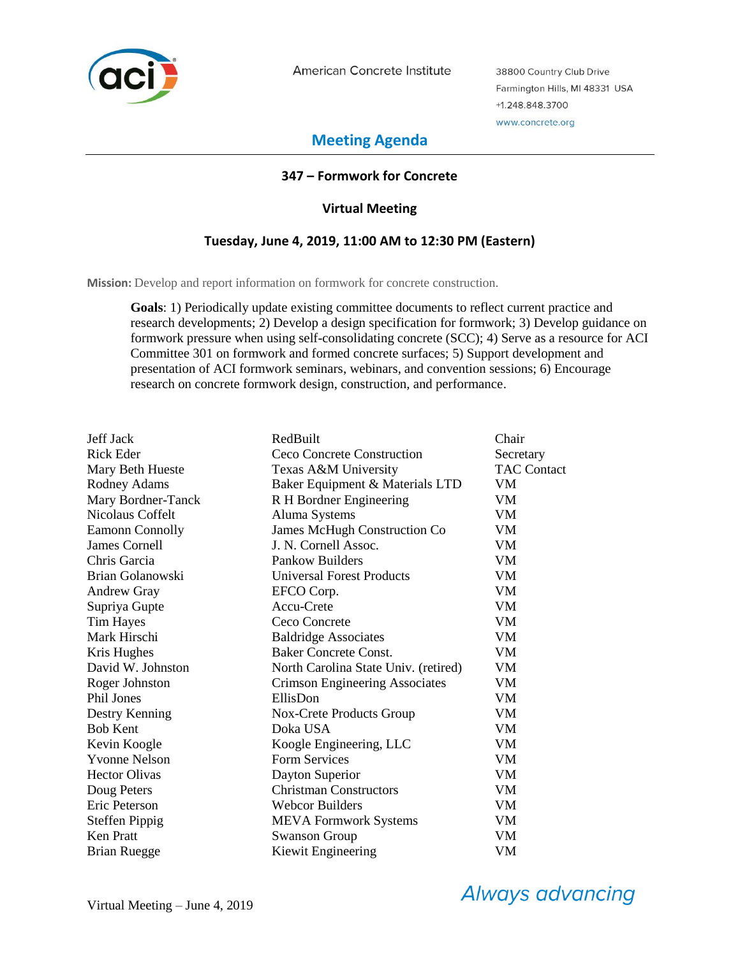

American Concrete Institute

38800 Country Club Drive Farmington Hills, MI 48331 USA +1.248.848.3700 www.concrete.org

# **Meeting Agenda**

# **347 – Formwork for Concrete**

# **Virtual Meeting**

# **Tuesday, June 4, 2019, 11:00 AM to 12:30 PM (Eastern)**

**Mission:** Develop and report information on formwork for concrete construction.

**Goals**: 1) Periodically update existing committee documents to reflect current practice and research developments; 2) Develop a design specification for formwork; 3) Develop guidance on formwork pressure when using self-consolidating concrete (SCC); 4) Serve as a resource for ACI Committee 301 on formwork and formed concrete surfaces; 5) Support development and presentation of ACI formwork seminars, webinars, and convention sessions; 6) Encourage research on concrete formwork design, construction, and performance.

| Jeff Jack              | RedBuilt                             | Chair              |
|------------------------|--------------------------------------|--------------------|
| <b>Rick Eder</b>       | Ceco Concrete Construction           | Secretary          |
| Mary Beth Hueste       | Texas A&M University                 | <b>TAC Contact</b> |
| Rodney Adams           | Baker Equipment & Materials LTD      | VM                 |
| Mary Bordner-Tanck     | R H Bordner Engineering              | VM                 |
| Nicolaus Coffelt       | Aluma Systems                        | VM                 |
| <b>Eamonn Connolly</b> | <b>James McHugh Construction Co</b>  | VM                 |
| <b>James Cornell</b>   | J. N. Cornell Assoc.                 | <b>VM</b>          |
| Chris Garcia           | Pankow Builders                      | <b>VM</b>          |
| Brian Golanowski       | <b>Universal Forest Products</b>     | VM                 |
| <b>Andrew Gray</b>     | EFCO Corp.                           | VM                 |
| Supriya Gupte          | Accu-Crete                           | VM                 |
| <b>Tim Hayes</b>       | Ceco Concrete                        | VM                 |
| Mark Hirschi           | <b>Baldridge Associates</b>          | <b>VM</b>          |
| Kris Hughes            | <b>Baker Concrete Const.</b>         | VM                 |
| David W. Johnston      | North Carolina State Univ. (retired) | VM                 |
| Roger Johnston         | Crimson Engineering Associates       | VM                 |
| <b>Phil Jones</b>      | EllisDon                             | VM                 |
| Destry Kenning         | Nox-Crete Products Group             | VM                 |
| <b>Bob Kent</b>        | Doka USA                             | VM                 |
| Kevin Koogle           | Koogle Engineering, LLC              | VM                 |
| <b>Yvonne Nelson</b>   | <b>Form Services</b>                 | VM                 |
| <b>Hector Olivas</b>   | Dayton Superior                      | VM                 |
| Doug Peters            | <b>Christman Constructors</b>        | VM                 |
| Eric Peterson          | <b>Webcor Builders</b>               | VM                 |
| <b>Steffen Pippig</b>  | <b>MEVA Formwork Systems</b>         | VM                 |
| <b>Ken Pratt</b>       | <b>Swanson Group</b>                 | VM                 |
| <b>Brian Ruegge</b>    | Kiewit Engineering                   | VM                 |